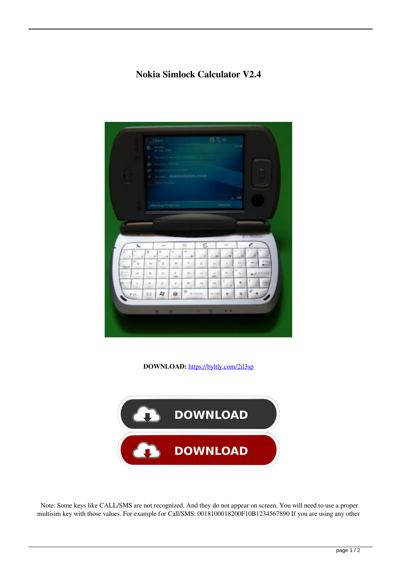## **Nokia Simlock Calculator V2.4**



**DOWNLOAD:** <https://byltly.com/2il3sp>



 Note: Some keys like CALL/SMS are not recognized. And they do not appear on screen. You will need to use a proper multisim key with those values. For example for Call/SMS: 0018100018200F10B1234567890 If you are using any other